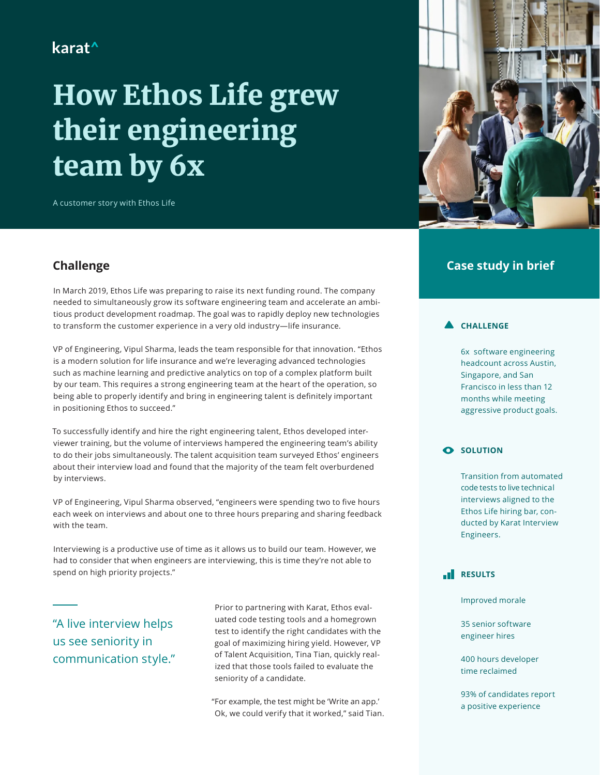## karat<sup>^</sup>

# How Ethos Life grew their engineering team by 6x

A customer story with Ethos Life



## **Challenge**

In March 2019, Ethos Life was preparing to raise its next funding round. The company needed to simultaneously grow its software engineering team and accelerate an ambitious product development roadmap. The goal was to rapidly deploy new technologies to transform the customer experience in a very old industry—life insurance.

VP of Engineering, Vipul Sharma, leads the team responsible for that innovation. "Ethos is a modern solution for life insurance and we're leveraging advanced technologies such as machine learning and predictive analytics on top of a complex platform built by our team. This requires a strong engineering team at the heart of the operation, so being able to properly identify and bring in engineering talent is definitely important in positioning Ethos to succeed."

To successfully identify and hire the right engineering talent, Ethos developed interviewer training, but the volume of interviews hampered the engineering team's ability to do their jobs simultaneously. The talent acquisition team surveyed Ethos' engineers about their interview load and found that the majority of the team felt overburdened by interviews.

VP of Engineering, Vipul Sharma observed, "engineers were spending two to five hours each week on interviews and about one to three hours preparing and sharing feedback with the team.

Interviewing is a productive use of time as it allows us to build our team. However, we had to consider that when engineers are interviewing, this is time they're not able to spend on high priority projects."

"A live interview helps us see seniority in communication style."

Prior to partnering with Karat, Ethos evaluated code testing tools and a homegrown test to identify the right candidates with the goal of maximizing hiring yield. However, VP of Talent Acquisition, Tina Tian, quickly realized that those tools failed to evaluate the seniority of a candidate.

"For example, the test might be 'Write an app.' Ok, we could verify that it worked," said Tian.

## **Case study in brief**

#### **CHALLENGE**

6x software engineering headcount across Austin, Singapore, and San Francisco in less than 12 months while meeting aggressive product goals.

#### **O** SOLUTION

Transition from automated code tests to live technical interviews aligned to the Ethos Life hiring bar, conducted by Karat Interview Engineers.

## **RESULTS**

Improved morale

35 senior software engineer hires

400 hours developer time reclaimed

93% of candidates report a positive experience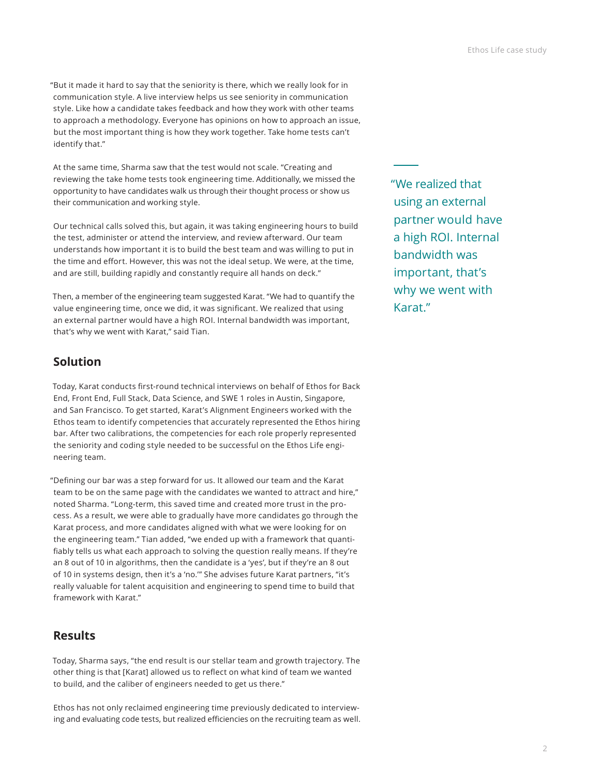"But it made it hard to say that the seniority is there, which we really look for in communication style. A live interview helps us see seniority in communication style. Like how a candidate takes feedback and how they work with other teams to approach a methodology. Everyone has opinions on how to approach an issue, but the most important thing is how they work together. Take home tests can't identify that."

At the same time, Sharma saw that the test would not scale. "Creating and reviewing the take home tests took engineering time. Additionally, we missed the opportunity to have candidates walk us through their thought process or show us their communication and working style.

Our technical calls solved this, but again, it was taking engineering hours to build the test, administer or attend the interview, and review afterward. Our team understands how important it is to build the best team and was willing to put in the time and effort. However, this was not the ideal setup. We were, at the time, and are still, building rapidly and constantly require all hands on deck."

Then, a member of the engineering team suggested Karat. "We had to quantify the value engineering time, once we did, it was significant. We realized that using an external partner would have a high ROI. Internal bandwidth was important, that's why we went with Karat," said Tian.

## **Solution**

Today, Karat conducts first-round technical interviews on behalf of Ethos for Back End, Front End, Full Stack, Data Science, and SWE 1 roles in Austin, Singapore, and San Francisco. To get started, Karat's Alignment Engineers worked with the Ethos team to identify competencies that accurately represented the Ethos hiring bar. After two calibrations, the competencies for each role properly represented the seniority and coding style needed to be successful on the Ethos Life engineering team.

"Defining our bar was a step forward for us. It allowed our team and the Karat team to be on the same page with the candidates we wanted to attract and hire," noted Sharma. "Long-term, this saved time and created more trust in the process. As a result, we were able to gradually have more candidates go through the Karat process, and more candidates aligned with what we were looking for on the engineering team." Tian added, "we ended up with a framework that quantifiably tells us what each approach to solving the question really means. If they're an 8 out of 10 in algorithms, then the candidate is a 'yes', but if they're an 8 out of 10 in systems design, then it's a 'no.'" She advises future Karat partners, "it's really valuable for talent acquisition and engineering to spend time to build that framework with Karat."

## **Results**

Today, Sharma says, "the end result is our stellar team and growth trajectory. The other thing is that [Karat] allowed us to reflect on what kind of team we wanted to build, and the caliber of engineers needed to get us there."

Ethos has not only reclaimed engineering time previously dedicated to interviewing and evaluating code tests, but realized efficiencies on the recruiting team as well. "We realized that using an external partner would have a high ROI. Internal bandwidth was important, that's why we went with Karat."